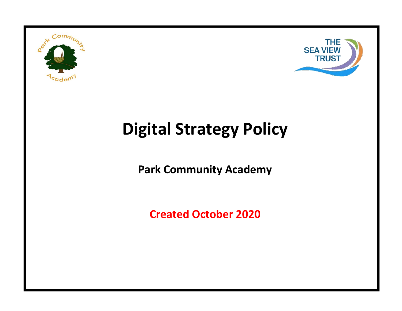



# **Digital Strategy Policy**

**Park Community Academy**

**Created October 2020**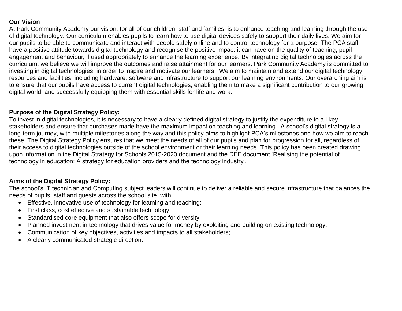#### **Our Vision**

At Park Community Academy our vision, for all of our children, staff and families, is to enhance teaching and learning through the use of digital technology**.** Our curriculum enables pupils to learn how to use digital devices safely to support their daily lives. We aim for our pupils to be able to communicate and interact with people safely online and to control technology for a purpose. The PCA staff have a positive attitude towards digital technology and recognise the positive impact it can have on the quality of teaching, pupil engagement and behaviour, if used appropriately to enhance the learning experience. By integrating digital technologies across the curriculum, we believe we will improve the outcomes and raise attainment for our learners. Park Community Academy is committed to investing in digital technologies, in order to inspire and motivate our learners. We aim to maintain and extend our digital technology resources and facilities, including hardware, software and infrastructure to support our learning environments. Our overarching aim is to ensure that our pupils have access to current digital technologies, enabling them to make a significant contribution to our growing digital world, and successfully equipping them with essential skills for life and work.

### **Purpose of the Digital Strategy Policy:**

To invest in digital technologies, it is necessary to have a clearly defined digital strategy to justify the expenditure to all key stakeholders and ensure that purchases made have the maximum impact on teaching and learning. A school's digital strategy is a long-term journey, with multiple milestones along the way and this policy aims to highlight PCA's milestones and how we aim to reach these. The Digital Strategy Policy ensures that we meet the needs of all of our pupils and plan for progression for all, regardless of their access to digital technologies outside of the school environment or their learning needs. This policy has been created drawing upon information in the Digital Strategy for Schools 2015-2020 document and the DFE document 'Realising the potential of technology in education: A strategy for education providers and the technology industry'.

### **Aims of the Digital Strategy Policy:**

The school's IT technician and Computing subject leaders will continue to deliver a reliable and secure infrastructure that balances the needs of pupils, staff and guests across the school site, with:

- Effective, innovative use of technology for learning and teaching;
- First class, cost effective and sustainable technology;
- Standardised core equipment that also offers scope for diversity;
- Planned investment in technology that drives value for money by exploiting and building on existing technology;
- Communication of key objectives, activities and impacts to all stakeholders;
- A clearly communicated strategic direction.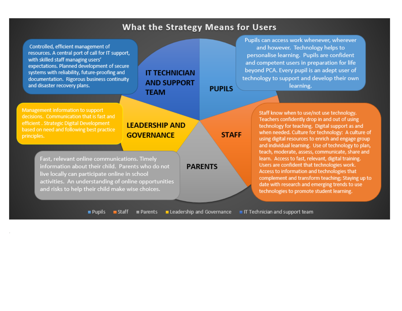## **What the Strategy Means for Users**

**PUPILS** 

**STAFF** 

Controlled, efficient management of resources. A central port of call for IT support, with skilled staff managing users' expectations. Planned development of secure systems with reliability, future-proofing and documentation. Rigorous business continuity and disaster recovery plans.

**IT TECHNICIAN AND SUPPORT TEAM** 

Pupils can access work whenever, wherever and however. Technology helps to personalise learning. Pupils are confident and competent users in preparation for life beyond PCA. Every pupil is an adept user of technology to support and develop their own learning.

Management information to support decisions. Communication that is fast and efficient. Strategic Digital Development based on need and following best practice principles.

## **LEADERSHIP AND GOVERNANCE**

Fast, relevant online communications. Timely information about their child. Parents who do not live locally can participate online in school activities. An understanding of online opportunities and risks to help their child make wise choices.

Staff know when to use/not use technology. Teachers confidently drop in and out of using technology for teaching. Digital support as and when needed. Culture for technology: A culture of using digital resources to enrich and engage group and individual learning. Use of technology to plan, teach, moderate, assess, communicate, share and learn. Access to fast, relevant, digital training. Users are confident that technologies work. Access to information and technologies that complement and transform teaching; Staying up to date with research and emerging trends to use technologies to promote student learning.

 $\blacksquare$  Pupils Leadership and Governance II Technician and support team  $\blacksquare$  Staff Parents

**PARENTS**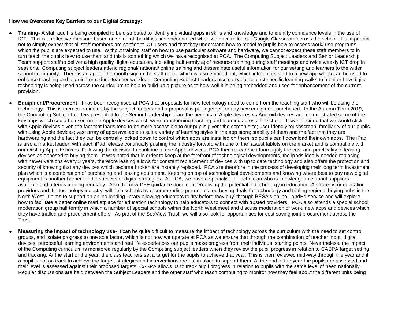#### **How we Overcome Key Barriers to our Digital Strategy:**

- **Training** A staff audit is being compiled to be distributed to identify individual gaps in skills and knowledge and to identify confidence levels in the use of ICT. This is a reflective measure based on some of the difficulties encountered when we have rolled out Google Classroom across the school. It is important not to simply expect that all staff members are confident ICT users and that they understand how to model to pupils how to access work/ use programs which the pupils are expected to use. Without training staff on how to use particular software and hardware, we cannot expect these staff members to in turn teach the pupils how to use them and this is something which we have recognised at PCA. The Computing Subject Leaders and Senior Leadership Team support staff to deliver a high quality digital education, including half termly app/ resource training during staff meetings and twice weekly ICT drop in sessions. Computing subject leaders attend regional/ national/ online training and disseminate useful information for our setting and learners to the wider school community. There is an app of the month sign in the staff room, which is also emailed out, which introduces staff to a new app which can be used to enhance teaching and learning or reduce teacher workload. Computing Subject Leaders also carry out subject specific learning walks to monitor how digital technology is being used across the curriculum to help to build up a picture as to how well it is being embedded and used for enhancement of the current provision.
- **Equipment/Procurement** It has been recognised at PCA that proposals for new technology need to come from the teaching staff who will be using the technology. This is then co-ordinated by the subject leaders and a proposal is put together for any new equipment purchased. In the Autumn Term 2019, the Computing Subject Leaders presented to the Senior Leadership Team the benefits of Apple devices vs Android devices and demonstrated some of the key apps which could be used on the Apple devices which were transforming teaching and learning across the school. It was decided that we would stick with Apple devices given the fact that ipads tend to be more accessible to our pupils given: the screen size; user friendly touchscreen; familiarity of our pupils with using Apple devices; vast array of apps available to suit a variety of learning styles in the app store; stability of them and the fact that they are hardwearing and the fact they can be centrally locked down to control which apps are installed on them, so pupils can't download their own apps. The iPad is also a market leader, with each iPad release continually pushing the industry forward with one of the fastest tablets on the market and is compatible with our existing Apple tv boxes. Following the decision to continue to use Apple devices, PCA then researched thoroughly the cost and practicality of leasing devices as opposed to buying them. It was noted that in order to keep at the forefront of technological developments, the ipads ideally needed replacing with newer versions every 3 years, therefore leasing allows for constant replacement of devices with up to date technology and also offers the protection and security of knowing that any devices which become broken are instantly replaced. PCA are therefore in the process of developing their long term investment plan which is a combination of purchasing and leasing equipment. Keeping on top of technological developments and knowing where best to buy new digital equipment is another barrier for the success of digital strategies. At PCA, we have a specialist IT Technician who is knowledgeable about suppliers available and attends training regularly. Also the new DFE guidance document 'Realising the potential of technology in education: A strategy for education providers and the technology industry' will help schools by recommending pre-negotiated buying deals for technology and trialing regional buying hubs in the North West. It aims to support an online lending library allowing educators to 'try before they buy' through BESA's online LendEd service and will explore how to facilitate a better online marketplace for education technology to help educators to connect with trusted providers. PCA also attends a special school moderation group half termly in which a number of special schools within the North West meet and discuss moderation of work, new apps and devices which they have trialled and procurement offers. As part of the SeaView Trust, we will also look for opportunities for cost saving joint procurement across the Trust.
- **Measuring the impact of technology use-** It can be quite difficult to measure the impact of technology across the curriculum with the need to set control groups, and isolate progress to one sole factor, which is not how we operate at PCA as we ensure that through the combination of teacher input, digital devices, purposeful learning environments and real life experiences our pupils make progress from their individual starting points. Nevertheless, the impact of the Computing curriculum is monitored regularly by the Computing subject leaders when they review the pupil progress in relation to CASPA target setting and tracking. At the start of the year, the class teachers set a target for the pupils to achieve that year. This is then reviewed mid-way through the year and if a pupil is not on track to achieve the target, strategies and interventions are put in place to support them. At the end of the year the pupils are assessed and their level is assessed against their proposed targets. CASPA allows us to track pupil progress in relation to pupils with the same level of need nationally. Regular discussions are held between the Subject Leaders and the other staff who teach computing to monitor how they feel about the different units being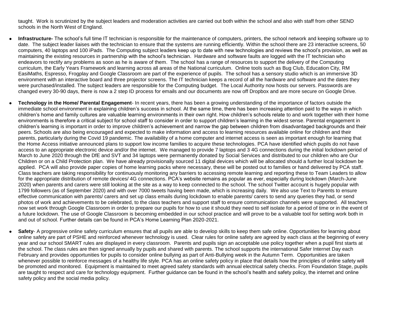taught. Work is scrutinized by the subject leaders and moderation activities are carried out both within the school and also with staff from other SEND schools in the North West of England.

- **Infrastructure-** The school's full time IT technician is responsible for the maintenance of computers, printers, the school network and keeping software up to date. The subject leader liaises with the technician to ensure that the systems are running efficiently. Within the school there are 23 interactive screens, 50 computers, 40 laptops and 100 iPads. The Computing subject leaders keep up to date with new technologies and reviews the school's provision, as well as maintaining the existing resources in partnership with the school's technician. Hardware and software faults are logged with the IT technician who endeavors to rectify any problems as soon as he is aware of them. The school has a range of resources to support the delivery of the Computing curriculum, the Early Years Framework and learning across all areas of the National curriculum. Online tools such as Bug Club, Education City, RM EasiMaths, Espresso, Frogplay and Google Classroom are part of the experience of pupils. The school has a sensory studio which is an immersive 3D environment with an interactive board and three projector screens. The IT technician keeps a record of all the hardware and software and the dates they were purchased/installed. The subject leaders are responsible for the Computing budget. The Local Authority now hosts our servers. Passwords are changed every 30-90 days, there is now a 2 step ID process for emails and our documents are now off Dropbox and are more secure on Google Drive.
- **Technology in the Home/ Parental Engagement** In recent years, there has been a growing understanding of the importance of factors outside the immediate school environment in explaining children's success in school. At the same time, there has been increasing attention paid to the ways in which children's home and family cultures are valuable learning environments in their own right. How children's schools relate to and work together with their home environments is therefore a critical subject for school staff to consider in order to support children's learning in the widest sense. Parental engagement in children's learning is important in order to improve children's achievement and narrow the gap between children from disadvantaged backgrounds and their peers. Schools are also being encouraged and expected to make information and access to learning resources available online for children and their parents, particularly during the Covid 19 pandemic. The availability of a home computer and internet access is seen as important enough for learning that the Home Access initiative announced plans to support low income families to acquire these technologies. PCA have identified which pupils do not have access to an appropriate electronic device and/or the internet. We managed to provide 7 laptops and 3 4G connections during the initial lockdown period of March to June 2020 through the DfE and SVT and 34 laptops were permanently donated by Social Services and distributed to our children who are Our Children or on a Child Protection plan. We have already provisionally sourced 11 digital devices which will be allocated should a further local lockdown be applied. PCA will also provide paper copies of home learning packs where necessary, these will be posted out to families or hand delivered by PCA staff. Class teachers are taking responsibility for continuously monitoring any barriers to accessing remote learning and reporting these to Team Leaders to allow for the appropriate distribution of remote devices/ 4G connections. PCA's website remains as popular as ever, especially during lockdown (March-June 2020) when parents and carers were still looking at the site as a way to keep connected to the school. The school Twitter account is hugely popular with 1799 followers (as of September 2020) and with over 7000 tweets having been made, which is increasing daily. We also use Text to Parents to ensure effective communication with parents/ carers and set up class emails during lockdown to enable parents/ carers to send any queries they had, or send photos of work and achievements to be celebrated, to the class teachers and support staff to ensure communication channels were supported. All teachers now set work through Google Classroom in order to prepare our pupils for how to use it should they need to self isolate for a period of time or in the event of a future lockdown. The use of Google Classroom is becoming embedded in our school practice and will prove to be a valuable tool for setting work both in and out of school. Further details can be found in PCA's Home Learning Plan 2020-2021.
- **Safety** A progressive online safety curriculum ensures that all pupils are able to develop skills to keep them safe online. Opportunities for learning about online safety are part of PSHE and reinforced whenever technology is used. Clear rules for online safety are agreed by each class at the beginning of every year and our school SMART rules are displayed in every classroom. Parents and pupils sign an acceptable use policy together when a pupil first starts at the school. The class rules are then signed annually by pupils and shared with parents. The school supports the international Safer Internet Day each February and provides opportunities for pupils to consider online bullying as part of Anti-Bullying week in the Autumn Term. Opportunities are taken whenever possible to reinforce messages of a healthy life style. PCA has an online safety policy in place that details how the principles of online safety will be promoted and monitored. Equipment is maintained to meet agreed safety standards with annual electrical safety checks. From Foundation Stage, pupils are taught to respect and care for technology equipment. Further guidance can be found in the school's health and safety policy, the internet and online safety policy and the social media policy.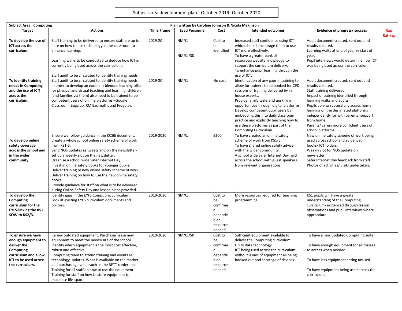| <b>Subject Area: Computing</b><br>Plan written by Caroline Johnson & Nicola Makinson                                                     |                                                                                                                                                                                                                                                                                                                                                                                                                                                                                                                                                                     |                   |                       |                                                                         |                                                                                                                                                                                                                                                                                                                                                                                                                        |                                                                                                                                                                                                                                                                                                                                                                            |                       |
|------------------------------------------------------------------------------------------------------------------------------------------|---------------------------------------------------------------------------------------------------------------------------------------------------------------------------------------------------------------------------------------------------------------------------------------------------------------------------------------------------------------------------------------------------------------------------------------------------------------------------------------------------------------------------------------------------------------------|-------------------|-----------------------|-------------------------------------------------------------------------|------------------------------------------------------------------------------------------------------------------------------------------------------------------------------------------------------------------------------------------------------------------------------------------------------------------------------------------------------------------------------------------------------------------------|----------------------------------------------------------------------------------------------------------------------------------------------------------------------------------------------------------------------------------------------------------------------------------------------------------------------------------------------------------------------------|-----------------------|
| <b>Target</b>                                                                                                                            | <b>Actions</b>                                                                                                                                                                                                                                                                                                                                                                                                                                                                                                                                                      | <b>Time Frame</b> | <b>Lead Personnel</b> | Cost                                                                    | Intended outcomes                                                                                                                                                                                                                                                                                                                                                                                                      | Evidence of progress/ success                                                                                                                                                                                                                                                                                                                                              | Rag<br><b>Rat-ing</b> |
| To develop the use of<br><b>ICT across the</b><br>curriculum.                                                                            | Staff training to be delivered to ensure staff are up to<br>date on how to use technology in the classroom to<br>enhance learning.<br>Learning walks to be conducted to deduce how ICT is<br>currently being used across the curriculum.<br>Staff audit to be circulated to identify training needs.                                                                                                                                                                                                                                                                | 2019-20           | NM/CJ<br>NM/CJ/SK     | Cost to<br>be<br>identified                                             | Increased staff confidence using ICT<br>which should encourage them to use<br>ICT more effectively.<br>To have a greater bank of<br>resources/website knowledge to<br>support the curriculum delivery.<br>To enhance pupil learning through the<br>use of ICT.                                                                                                                                                         | Audit document created, sent out and<br>results collated.<br>Learning walks at end of year vs start of<br>vear.<br>Pupil interviews would determine how ICT<br>was being used across the curriculum.                                                                                                                                                                       |                       |
| To identify training<br>needs in Computing<br>and the use of IC T<br>across the<br>curriculum.                                           | Staff audit to be circulated to identify training needs.<br>In order to develop an excellent blended learning offer<br>for physical and virtual teaching and learning, children<br>(and families via them) also need to be trained to be<br>competent users of on line platforms -Google<br>Classroom, Bugclub, RM Easimaths and Frogplay.                                                                                                                                                                                                                          | 2019-20           | NM/CJ                 | No cost                                                                 | Identification of any gaps in training to<br>allow for trainers to be booked for CPD<br>sessions or training delivered by in<br>house experts.<br>Provide family tasks and upskilling<br>opportunities through digital platforms.<br>Develop competent pupil users by<br>embedding this into daily classroom<br>practice and explicitly teaching how to<br>use these platforms as part of the<br>Computing Curriculum. | Audit document created, sent out and<br>results collated.<br>Staff training delivered.<br>Impact of training identified through<br>learning walks and audits.<br>Pupils able to successfully access home<br>learning on the designated platforms<br>independently (or with parental support)<br>from home.<br>Parents/ carers more confident users of<br>school platforms. |                       |
| To develop online<br>safety coverage<br>across the school and<br>in the wider<br>community.                                              | Ensure we follow guidance in the KCSIE document.<br>Create a whole school online safety scheme of work<br>from KS1-5.<br>Send NOS updates as tweets and on the newsletter-<br>set up a weekly slot on the newsletter.<br>Organise a school wide Safer Internet Day.<br>Invest in online safety books for younger pupils.<br>Deliver training re new online safety scheme of work.<br>Deliver training on how to use the new online safety<br>books.<br>Provide guidance for staff on what is to be delivered<br>during Online Safety Day and lesson plans provided. | 2019-2020         | NM/CJ                 | £200                                                                    | To have created an online safety<br>scheme of work from KS1-5.<br>To have shared online safety advice<br>with the wider community.<br>A school wide Safer Internet Day held<br>across the school with guest speakers<br>from relevant organisations.                                                                                                                                                                   | New online safety scheme of work being<br>used across school and evidenced in<br>books/ ICT folders.<br>Weekly slot for NOS update on<br>newsletter.<br>Safer Internet Day feedback from staff.<br>Photos of activities/ visits undertaken.                                                                                                                                |                       |
| To develop the<br><b>Computing</b><br>curriculum for the<br><b>EYFS-linking the KS1</b><br>SOW to KS2/3.                                 | Identify gaps in the EYFS Computing curriculum.<br>Look at existing EYFS curriculum documents and<br>policies.                                                                                                                                                                                                                                                                                                                                                                                                                                                      | 2019-2020         | NM/CJ                 | Cost to<br>be<br>confirme<br>d<br>depende<br>d on<br>resource<br>needed | More resources required for teaching<br>programming.                                                                                                                                                                                                                                                                                                                                                                   | KS1 pupils will have a greater<br>understanding of the Computing<br>curriculum- evidenced through lesson<br>observations and pupil interviews where<br>appropriate.                                                                                                                                                                                                        |                       |
| To ensure we have<br>enough equipment to<br>deliver the<br>Computing<br>curriculum and allow<br>ICT to be used across<br>the curriculum. | Renew outdated equipment. Purchase/lease new<br>equipment to meet the needs/size of the school.<br>Identify which equipment is the most cost effective,<br>robust and effective.<br>Computing team to attend training and events re<br>technology updates. What is available on the market<br>and purchasing events such as the BETT conference.<br>Training for all staff on how to use the equipment.<br>Training for staff on how to store equipment to<br>maximise life-span.                                                                                   | 2019-2020         | NM/CJ/SK              | Cost to<br>be<br>confirme<br>d<br>depende<br>d on<br>resource<br>needed | Sufficient equipment available to<br>deliver the Computing curriculum.<br>Up to date technology.<br>ICT being used across the curriculum<br>without issues of equipment all being<br>booked out and shortage of devices.                                                                                                                                                                                               | To have a new updated Computing suite.<br>To have enough equipment for all classes<br>to access when needed.<br>To have less equipment sitting unused.<br>To have equipment being used across the<br>curriculum.                                                                                                                                                           |                       |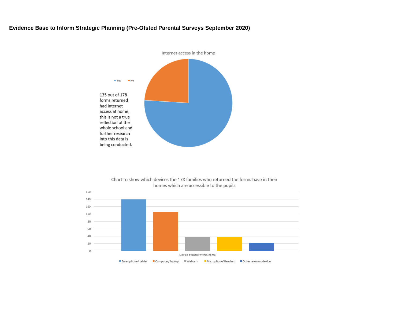#### **Evidence Base to Inform Strategic Planning (Pre-Ofsted Parental Surveys September 2020)**